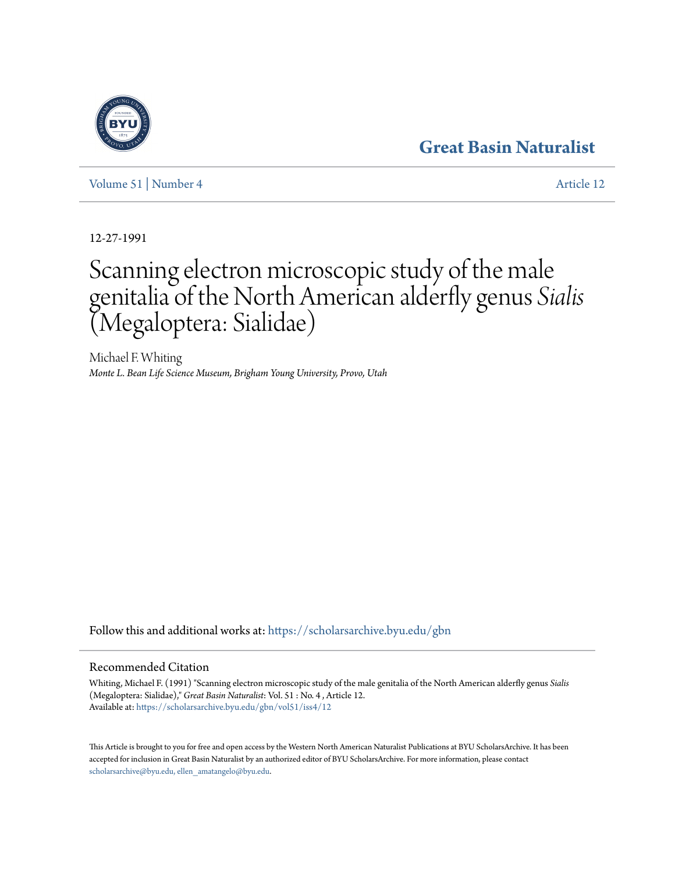# **[Great Basin Naturalist](https://scholarsarchive.byu.edu/gbn?utm_source=scholarsarchive.byu.edu%2Fgbn%2Fvol51%2Fiss4%2F12&utm_medium=PDF&utm_campaign=PDFCoverPages)**

[Volume 51](https://scholarsarchive.byu.edu/gbn/vol51?utm_source=scholarsarchive.byu.edu%2Fgbn%2Fvol51%2Fiss4%2F12&utm_medium=PDF&utm_campaign=PDFCoverPages) | [Number 4](https://scholarsarchive.byu.edu/gbn/vol51/iss4?utm_source=scholarsarchive.byu.edu%2Fgbn%2Fvol51%2Fiss4%2F12&utm_medium=PDF&utm_campaign=PDFCoverPages) [Article 12](https://scholarsarchive.byu.edu/gbn/vol51/iss4/12?utm_source=scholarsarchive.byu.edu%2Fgbn%2Fvol51%2Fiss4%2F12&utm_medium=PDF&utm_campaign=PDFCoverPages)

12-27-1991

# Scanning electron microscopic study of the male genitalia of the North American alderfly genus *Sialis* (Megaloptera: Sialidae)

Michael F. Whiting *Monte L. Bean Life Science Museum, Brigham Young University, Provo, Utah*

Follow this and additional works at: [https://scholarsarchive.byu.edu/gbn](https://scholarsarchive.byu.edu/gbn?utm_source=scholarsarchive.byu.edu%2Fgbn%2Fvol51%2Fiss4%2F12&utm_medium=PDF&utm_campaign=PDFCoverPages)

## Recommended Citation

Whiting, Michael F. (1991) "Scanning electron microscopic study of the male genitalia of the North American alderfly genus *Sialis* (Megaloptera: Sialidae)," *Great Basin Naturalist*: Vol. 51 : No. 4 , Article 12. Available at: [https://scholarsarchive.byu.edu/gbn/vol51/iss4/12](https://scholarsarchive.byu.edu/gbn/vol51/iss4/12?utm_source=scholarsarchive.byu.edu%2Fgbn%2Fvol51%2Fiss4%2F12&utm_medium=PDF&utm_campaign=PDFCoverPages)

This Article is brought to you for free and open access by the Western North American Naturalist Publications at BYU ScholarsArchive. It has been accepted for inclusion in Great Basin Naturalist by an authorized editor of BYU ScholarsArchive. For more information, please contact [scholarsarchive@byu.edu, ellen\\_amatangelo@byu.edu.](mailto:scholarsarchive@byu.edu,%20ellen_amatangelo@byu.edu)

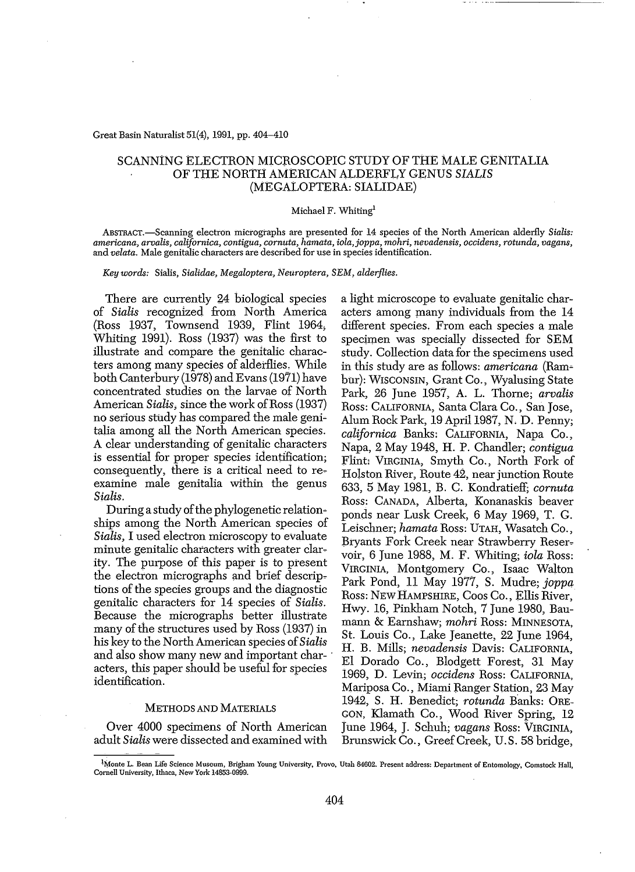#### Great Basin Naturalist 51(4), 1991, pp. 404-410

### SCANNtNG ELECTRON MICROSCOPIC STUDY OF THE MALE GENITALIA OF THE NORTH AMERICAN ALDERFLY GENUS *SIALIS* (MEGAtOPTERA: SIALIDAE)

#### Michael F. Whiting'

ABSTRACT.-Scanning electron micrographs are presented for 14 species of the North American alderfly *Sialis: americana, aroalis, californica, contigua, cornuta, hamata, iola,joppa, mohri, nevadensis, occidens, rotunda, vagans,* and *velata.* Male genitalic characters are described for use in species identification.

*Key words:* Sialis, *Sialidae, Megaloptera, Neuroptera, SEM, alderflies.*

There are currently 24 biological species of *Sialis* recognized from North America (Ross 1937, Townsend 1939, Flint 1964; Whiting 1991). Ross (1937) was the first to illustrate and compare the genitalic characters among many species of aldetflies. While both Canterbury (1978) and Evans (1971) have concentrated studies on the larvae of North American *Sialis*, since the work of Ross (1937) no serious study has compared the male genitalia among all the North American species. A clear understanding of genitalic characters is essential for proper species identification; consequently, there is a critical need to reexamine male genitalia within the genus *Sialis.*

During a study of the phylogenetic relationships among the North American species of *Sialis,* I used electron microscopy to evaluate minute genitalic characters with greater clarity. The purpose of this paper is to present the electron micrographs and brief descriptions of the species groups and the diagnostic genitalic characters for 14 species of *Sialis.* Because the micrographs better illustrate many of the structures used by Ross (1937) in his key to the North American species of *Sialis* and also show many new and important characters, this paper should be useful for species identification.

#### METHODS AND MATERIALS

Over 4000 specimens of North American adult *Sialis* were dissected and examined with a light microscope to evaluate genitalic characters among many individuals from the 14 different species. From each species a male specimen was specially dissected for SEM study. Collection data for the specimens used in this study are as follows: *americana* (Rambur): WISCONSIN, Grant Co., Wyalusing State Park, 26 June 1957, A. L. Thorne; *arvalis* Ross: CALIFORNIA, Santa Clara Co., San Jose, Alum Rock Park, 19 April 1987, N. D. Penny; *californica* Banks: CALIFORNIA, Napa Co., Napa, 2 May 1948, H. P. Chandler; *contigua* Flint: VIRGINIA, Smyth Co., North Fork of Holston River, Route 42, near junction Route 633, 5 May 1981, B. C. Kondratieff; *cornuta* Ross: CANADA, Alberta, Konanaskis beaver ponds near Lusk Creek, 6 May 1969, T. G. Leischner; *hamata* Ross: UTAH, Wasatch Co., Bryants Fork Creek near Strawberry Reservoir, 6 June 1988, M. F. Whiting; *iola* Ross: VIRGINIA, Montgomery Co., Isaac Walton Park Pond, 11 May 1917, S. Mudre; *joppa* Ross: NEW HAMPSHIRE, Coos Co., Ellis River, HWy. 16, Pinkham Notch, 7 June 1980, Baumann & Earnshaw; *mohri* Ross: MINNESOTA, St. Louis Co., Lake Jeanette, 22 June 1964, II. B. Mills; *nevadensis* Davis: CALIFORNIA, EI Dorado Co., Blodgett Forest, 31 May 1969, D. Levin; *occidens* Ross: CALIFORNIA, Mariposa Co., Miami Ranger Station, 23 May 1942, S. H. Benedict; *rotunda* Banks: ORE-GON, Klamath Co., Wood River Spring, 12 June 1964, J. Schuh; *vagans* Ross: VIRGINIA, Brunswick Co., GreefCreek, U.S. 58 bridge,

<sup>&</sup>lt;sup>1</sup>Monte L. Bean Life Science Museum, Brigham Young University, Provo, Utah 84602. Present address: Department of Entomology, Comstock Hall, Cornell University, Ithaca, New York 14853-0999.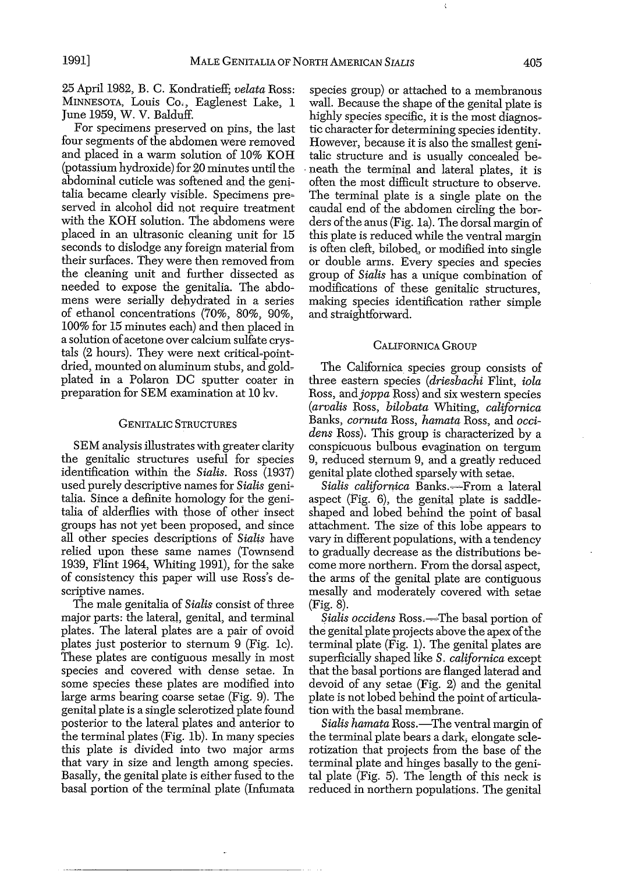25 April 1982, B. C. Kondratieff; *velata* Ross: MINNESOTA, Louis Co., Eaglenest Lake, 1 June 1959, W. V. Balduff.

For specimens preserved on pins, the last four segments of the abdomen were removed and placed in a warm solution of 10% KOH (potassium hydroxide) for 20 minutes until the abdominal cuticle was softened and the genitalia became clearly visible. Specimens pre~ served in alcohol did not require treatment with the KOH solution. The abdomens were placed in an ultrasonic cleaning unit for 15 seconds to dislodge any foreign material from their surfaces. They were then removed from the cleaning unit and further dissected as needed to expose the genitalia. The abdo~ mens were serially dehydrated in a series of ethanol concentrations (70%, 80%, 90%, 100% for 15 minutes each) and then placed in a solution of acetone over calcium sulfate crystals (2 hours). They were next critical-pointdried, mounted on aluminum stubs, and goldplated in a Polaron DC sputter coater in preparation for SEM examination at 10 kv.

#### GENITALIC STRUCTURES

SEM analysis illustrates with greater clarity the genitalic structures useful for species identification within the *Sialis.* Ross (1937) used purely descriptive names for *Sialis* geni~ talia. Since a definite homology for the genitalia of alderflies with those of other insect groups has not yet been proposed, and since all other species descriptions of *Sialis* have relied upon these same names (Townsend 1939, Flint 1964, Whiting 1991), for the sake of consistency this paper will use Ross's descriptive names.

The male genitalia of *Sialis* consist of three major parts: the lateral, genital, and terminal plates. The lateral plates are a pair of ovoid plates just posterior to sternum 9 (Fig. lc). These plates are contiguous mesally in most species and covered with dense setae. In some species these plates are modified into large arms bearing coarse setae (Fig. 9). The genital plate is a single sclerotized plate found posterior to the lateral plates and anterior to the terminal plates (Fig. Ib). In many species this plate is divided into two major arms that vary in size and length among species. Basally, the genital plate is either fused to the basal portion of the terminal plate (Infumata

species group) or attached to a membranous wall. Because the shape of the genital plate is highly species specific, it is the most diagnostic character for determining species identity. However, because it is also the smallest genitalic structure and is usually concealed be-. neath the terminal and lateral plates, it is often the most difficult structure to observe. The terminal plate is a single plate on the caudal end of the abdomen circling the borders ofthe anus (Fig. la). The dorsal margin of this plate is reduced while the ventral margin is often cleft, bilobed, or modified into single or double arms. Every species and species group of *Sialis* has a unique combination of modifications of these genitalic structures, making species identification rather simple and straightforward.

#### CALIFORNICA GROUP

The Californica species group consists of three eastern species *(driesbachi* Flint, *iola* Ross, and*joppa* Ross) and six western species *(arvalis* Ross, *bilobata* Whiting, *californica* Banks, *cornuta* Ross, *hamata* Ross, and *occidens* Ross). This group is characterized by a conspicuous bulbous evagination on tergum 9, reduced sternum 9, and a greatly reduced genital plate clothed sparsely with setae.

*Sialis callfornica* Banks.~From a lateral aspect (Fig. 6), the genital plate is saddleshaped and lobed behind the point of basal attachment. The size of this lobe appears to vary in different populations, with a tendency to gradually decrease as the distributions be~ come more northern. From the dorsal aspect, the arms of the genital plate are contiguous mesally and moderately covered with setae (Fig. 8).

Sialis *occidens* Ross.—The basal portion of the genital plate projects above the apex of the terminal plate (Fig. 1). The genital plates are superficially shaped like S. *californica* except that the basal portions are flanged laterad and devoid of any setae (Fig. 2) and the genital plate is not lobed behind the point of articulation with the basal membrane.

*Sialis hamata* Ross.—The ventral margin of the terminal plate bears a dark, elongate sclerotization that projects from the base of the terminal plate and hinges basally to the geni~ tal plate (Fig. 5). The length of this neck is reduced in northern populations. The genital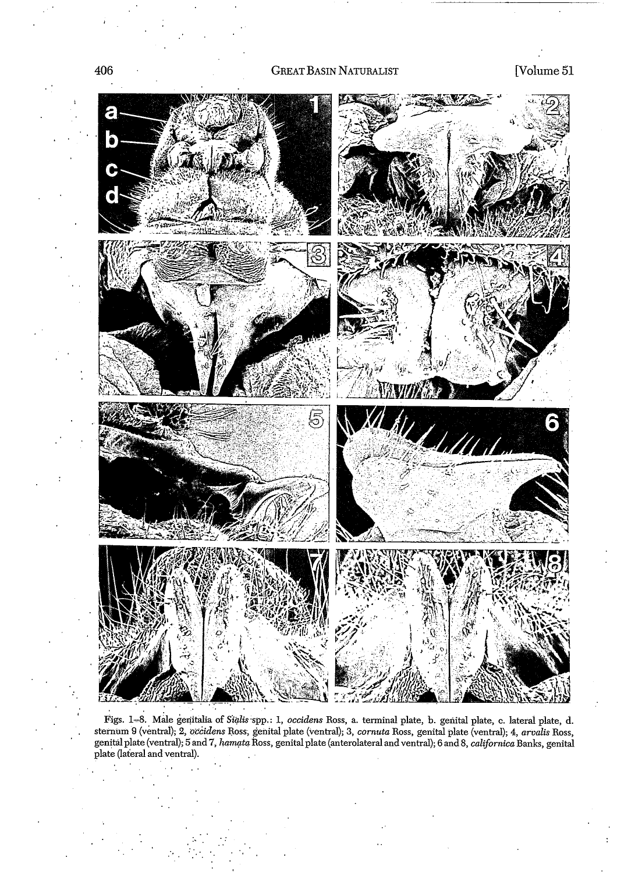

Figs. 1–8. Male genitalia of S*ialis* spp.: 1, *occidens* Ross, a. terminal plate, b. genital plate, c. lateral plate, d. sternum 9 (ventral); 2, *occidens* Ross, genital plate (ventral); 3, *cornuta* Ross, genital plate (ventral); 4, *arvalis* Ross, genital plate (ventral); 5 and 7, *hamata* Ross, genital plate (anterolateral and ventral); 6 and 8, *californica* Banks, genital plate (lateral and ventral).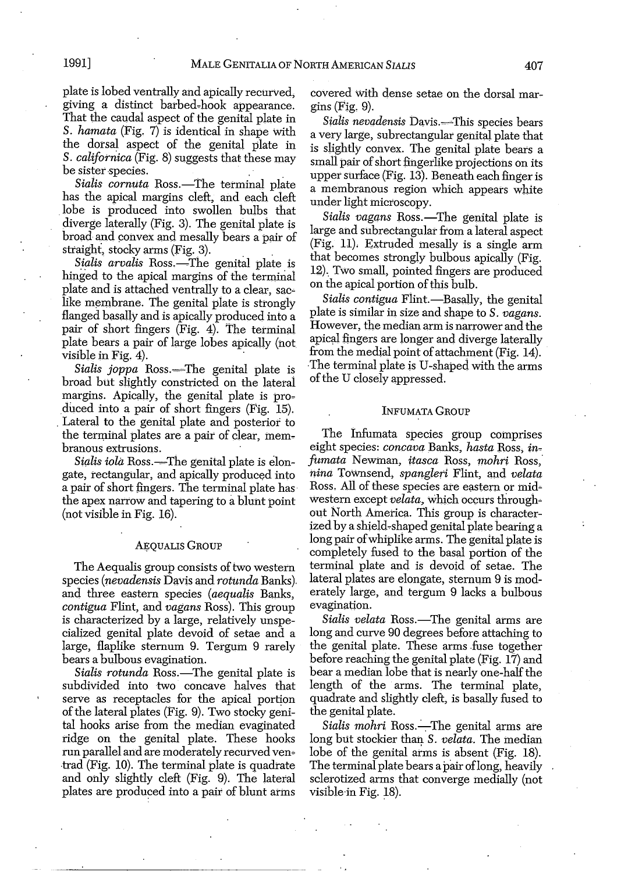plate is lobed ventrally and apically recurved. giving a distinct barbed-hook appearance. That the caudal aspect of the genital plate in *S. hamata* (Fig. 7) is identical in shape With the dorsal aspect of the genital plate in *S. californica* (Fig. 8) suggests that these may be sister species.

*Sialis cornuta* Ross.—The terminal plate has the apical margins cleft, and each cleft lobe is produced into swollen bulbs that diverge laterally (Fig. 3). The genital plate is broad and convex and mesally bears a pair of straight, stocky arms (Fig. 3).

Sialis arvalis Ross.-The genital plate is hinged to the apical margins of the terminal plate and is attached ventrally to a clear, saclike membrane. The genital plate is strongly flanged basally and is apically produced into a pair of short fingers (Fig. 4). The terminal plate bears a pair of large lobes apically (not visible in Fig.  $4$ ).

Sialis *joppa* Ross.-The genital plate is broad but slightly constricted on the laterai margins. Apically, the genital plate is produced into a pair of short fingers (Fig. 15). . Lateral to the genital plate and posterior to the terminal plates are a pair of clear, membranous extrusions.

*Sialis iola* Ross.—The genital plate is elongate, rectangular, and apically produced into a pair of short fingers. The terminal plate has the apex narrow and tapering to a blunt point (not visible in Fig. 16).

#### AEQUALIS GROUP

The Aequalis group consists of two western species *(nevadensis* Davis and *rotunda* Banks). and three eastern species *(aequalis* Banks, *contigua* Flint, and *vagans* Ross). This group is characterized by a large, relatively unspecialized genital plate devoid of setae and a large, flaplike sternum 9. Tergum 9 rarely bears a bulbous evagination.

*Sialis rotunda* Ross.—The genital plate is subdivided into two concave halves that serve as receptacles for the apical portion of the lateral plates (Fig. 9). Two stocky genital hooks arise from the median evaginated ridge on the genital plate. These hooks run parallel and are moderately recurved ven~ ·trad (Fig. 10). The terminal plate is quadrate and only slightly cleft (Fig. 9). The lateral plates are produced into a pair of blunt arms covered With dense setae on the dorsal margins (Fig. 9).

Sialis nevadensis Davis.-This species bears a very large, subrectangular genital plate that is slightly convex. The genital plate bears a small pair of short fingerlike projections on its upper surface (Fig. 13). Beneath each finger is a membranous region which appears white under light microscopy.

*Sialis vagans* Ross.-The genital plate is large and subrectangular from a lateral aspect (Fig. 11), Extruded mesally is a single arm that becomes strongly bulbous apically (Fig. 12). Two small, pointed fingers are produced on the apical portion of this bulb.

Sialis *contigua* Flint.-Basally, the genital plate is similar in size and shape to *S. vagans.* However, the median arm is narrower and the apical fingers are longer and diverge laterally from the medial point of attachment (Fig. 14). The terminal plate is U-shaped with the arms ofthe U closely appressed.

#### INFUMATA GROUP

The Infumata species group comprises eight species: *concava* Banks, *hasta* Ross, in~ *fumata* Newman, *itasca* Ross, *mohri* Ross, *nina* Townsend, *spangleri* Flint, and *velata* Ross. All of these species are eastern or midwestern except *velata*, which occurs throughout North America. This group is characterized by a shield~shaped genital plate bearing a long pair of whiplike arms. The genital plate is completely fused to the basal portion of the terminal plate and is devoid of setae. The lateral plates are elongate, sternum 9 is moderately large, and tergum 9 lacks a bulbous evagination.

*Sialis velata* Ross.—The genital arms are long and curve 90 degrees before attaching to the genital plate. These arms fuse together before reaching the genital plate (Fig. 17) and bear a median lobe that is nearly one-half the length of the arms. The terminal plate, quadrate and slightly cleft, is basally fused to the genital plate.

*Sialis mohri* Ross.—The genital arms are long but stockier than *S. velata.* The median lobe of the genital arms is absent (Fig. 18). The terminal plate bears a pair of long, heavily sclerotized arms that converge medially (not visible in Fig. 18).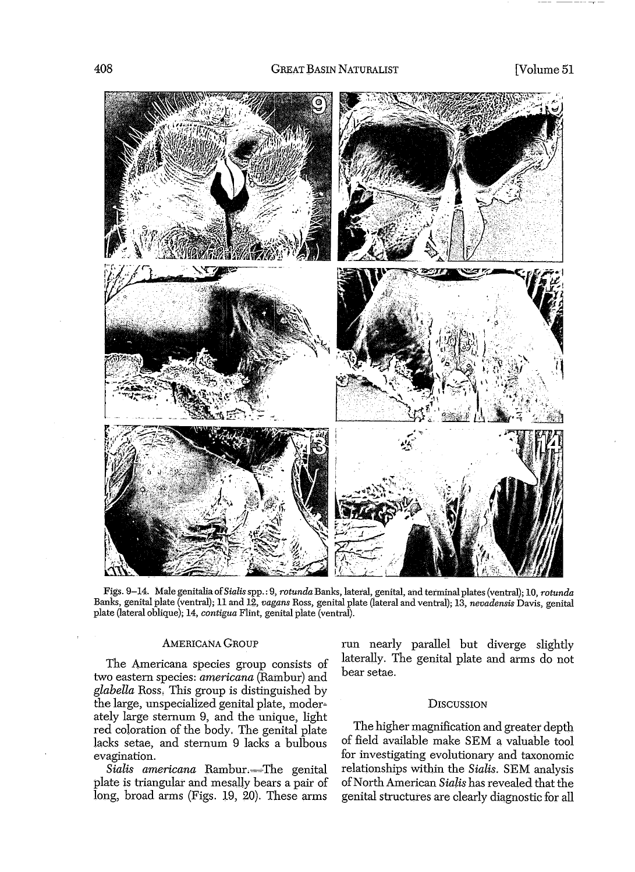

Figs. 9-14. Male genitalia of*Sialis*spp.: 9, *rotunda* Banks, latetal,genital, and terminal plates (ventral); 10, *rotunda* Banks, genital plate (ventral); 11 and 12, *vagans* Ross, genital plate (lateral and ventral); 13, *nevadensis* Davis, genital plate (lateral oblique); 14, *contigua* Flint, genital plate (ventral).

#### AMERICANA GROUP

The Americana species group consists of two eastern species: *americana* (Rambur) and *glabella* Ross. This group is distinguished by the large, unspecialized genital plate, moderately large sternum 9, and the unique, light red coloration of the body. The genital plate lacks setae, and sternum 9 lacks a bulbous evagination.

Sialis americana Rambur.--The genital plate is triangular and mesally bears a pair of long, broad arms (Figs. 19, 20). These arms run nearly parallel but diverge slightly laterally. The genital plate and arms do not bear setae.

#### **DISCUSSION**

The higher magnification and greater depth of field available make SEM a valuable tool for investigating evolutionary and taxonomic relationships within the *Sialis.* SEM analysis ofNorth American *Sialis* has revealed that the genital structures are clearly diagnostic for all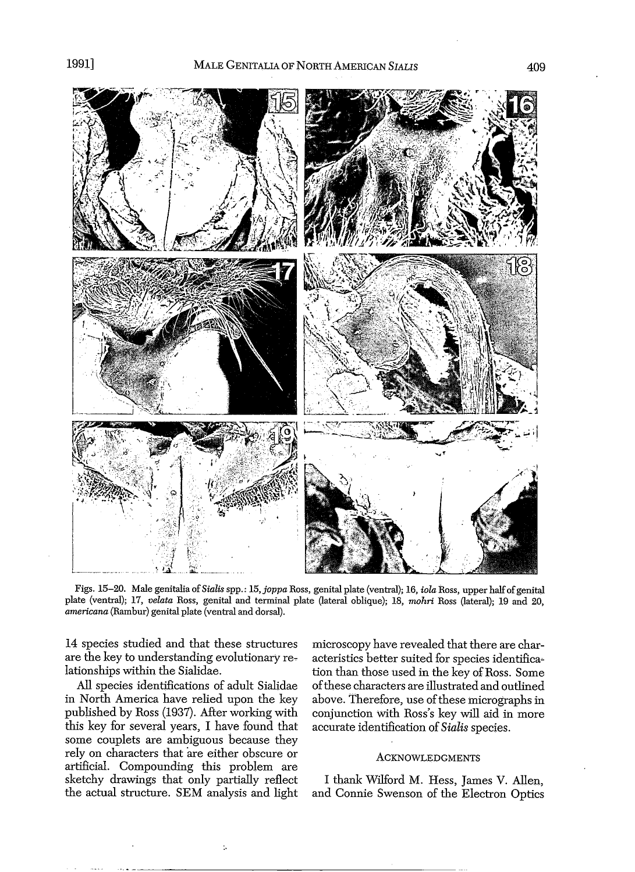

Figs. 15-20. Male genitalia of *Sialis* spp.: 15, *joppa* Ross, genital plate (ventral); 16, *iola* Ross, upper halfofgenital plate (ventral); 17, *velata* Ross, genital and terminal plate (lateral oblique); 18, *mohri* Ross (lateral); 19 and 20, *americana* (Rambur) genital plate (ventral and dorsal).

14 species studied and that these structures are the key to understanding evolutionary relationships within the Sialidae.

All species identifications of adult Sialidae in North America have relied upon the key published by Ross (1937). After working with this key for several years, I have found that some couplets are ambiguous because they rely on characters that are either obscure or artificial. Compounding this problem are sketchy drawings that only partially reflect the actual structure. SEM analysis and light

÷.

microscopy have revealed that there are characteristics better suited for species identifica~ tion than those used in the key of Ross. Some ofthese characters are illustrated and outlined above. Therefore, use of these micrographs in conjunction with Ross's key will aid in more accurate identification of *Sialis* species.

#### ACKNOWLEDGMENTS

I thank Wilford M. Hess, James V. Allen, and Connie Swenson of the Electron Optics